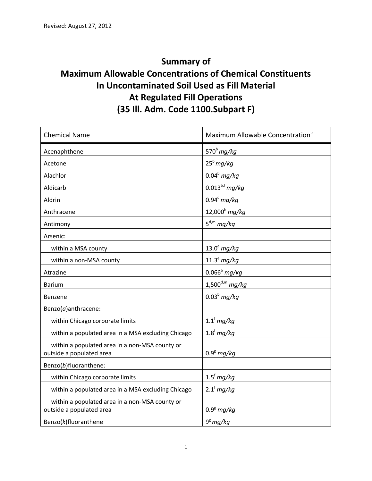## **Summary of Maximum Allowable Concentrations of Chemical Constituents In Uncontaminated Soil Used as Fill Material At Regulated Fill Operations (35 Ill. Adm. Code 1100.Subpart F)**

| <b>Chemical Name</b>                                                       | Maximum Allowable Concentration <sup>a</sup> |
|----------------------------------------------------------------------------|----------------------------------------------|
| Acenaphthene                                                               | 570 $^{\rm b}$ mg/kg                         |
| Acetone                                                                    | $25^b$ mg/kg                                 |
| Alachlor                                                                   | $0.04b$ mg/kg                                |
| Aldicarb                                                                   | $0.013^{b,l}$ mg/kg                          |
| Aldrin                                                                     | $0.94^c$ mg/kg                               |
| Anthracene                                                                 | $12,000^{b}$ mg/kg                           |
| Antimony                                                                   | $5^{d,m}$ mg/kg                              |
| Arsenic:                                                                   |                                              |
| within a MSA county                                                        | $13.0^{\circ}$ mg/kg                         |
| within a non-MSA county                                                    | $11.3^e$ mg/kg                               |
| Atrazine                                                                   | $0.066b$ mg/kg                               |
| <b>Barium</b>                                                              | $1,500^{d,m}$ mg/kg                          |
| Benzene                                                                    | $0.03b$ mg/kg                                |
| Benzo( $a$ ) anthracene:                                                   |                                              |
| within Chicago corporate limits                                            | $1.1f$ mg/kg                                 |
| within a populated area in a MSA excluding Chicago                         | $1.8f$ mg/kg                                 |
| within a populated area in a non-MSA county or<br>outside a populated area | $0.98$ mg/kg                                 |
| Benzo(b)fluoranthene:                                                      |                                              |
| within Chicago corporate limits                                            | $1.5f$ mg/kg                                 |
| within a populated area in a MSA excluding Chicago                         | $2.1f$ mg/kg                                 |
| within a populated area in a non-MSA county or<br>outside a populated area | $0.9g$ mg/kg                                 |
| Benzo(k)fluoranthene                                                       | $9^{\rm g}$ mg/kg                            |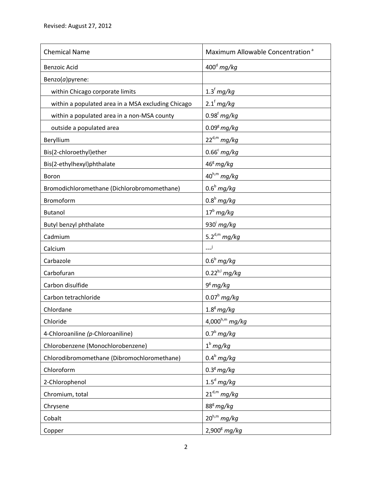| <b>Chemical Name</b>                               | Maximum Allowable Concentration <sup>a</sup> |
|----------------------------------------------------|----------------------------------------------|
| <b>Benzoic Acid</b>                                | $400d$ mg/kg                                 |
| Benzo(a)pyrene:                                    |                                              |
| within Chicago corporate limits                    | $1.3†$ mg/kg                                 |
| within a populated area in a MSA excluding Chicago | $2.1†$ mg/kg                                 |
| within a populated area in a non-MSA county        | $0.98f$ mg/kg                                |
| outside a populated area                           | $0.09^8$ mg/kg                               |
| Beryllium                                          | $22^{d,m}$ mg/kg                             |
| Bis(2-chloroethyl)ether                            | $0.66^c$ mg/kg                               |
| Bis(2-ethylhexyl)phthalate                         | $46^{\rm g}$ mg/kg                           |
| Boron                                              | $40^{h,m}$ mg/kg                             |
| Bromodichloromethane (Dichlorobromomethane)        | $0.6b$ mg/kg                                 |
| Bromoform                                          | $0.8b$ mg/kg                                 |
| <b>Butanol</b>                                     | $17^b$ mg/kg                                 |
| Butyl benzyl phthalate                             | 930 $^{\dagger}$ mg/kg                       |
| Cadmium                                            | 5.2 $d,m$ mg/kg                              |
| Calcium                                            | ني_                                          |
| Carbazole                                          | $0.6b$ mg/kg                                 |
| Carbofuran                                         | $0.22^{b,1}$ mg/kg                           |
| Carbon disulfide                                   | $9g$ mg/kg                                   |
| Carbon tetrachloride                               | $0.07^b$ mg/kg                               |
| Chlordane                                          | $1.8g$ mg/kg                                 |
| Chloride                                           | $4,000^{h,m}$ mg/kg                          |
| 4-Chloroaniline (p-Chloroaniline)                  | $0.7^b$ mg/kg                                |
| Chlorobenzene (Monochlorobenzene)                  | $1b$ mg/kg                                   |
| Chlorodibromomethane (Dibromochloromethane)        | $0.4b$ mg/kg                                 |
| Chloroform                                         | $0.3g$ mg/kg                                 |
| 2-Chlorophenol                                     | $1.5^d$ mg/kg                                |
| Chromium, total                                    | $21^{\text{d,m}}$ mg/kg                      |
| Chrysene                                           | $88^8$ mg/kg                                 |
| Cobalt                                             | $20^{h,m}$ mg/kg                             |
| Copper                                             | $2,900^8$ mg/kg                              |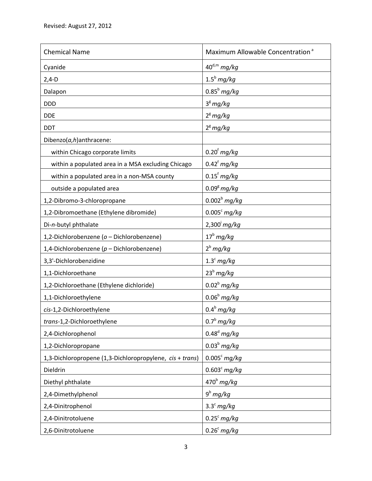| <b>Chemical Name</b>                                     | Maximum Allowable Concentration <sup>a</sup> |
|----------------------------------------------------------|----------------------------------------------|
| Cyanide                                                  | $40^{d,m}$ mg/kg                             |
| $2,4-D$                                                  | $1.5^b$ mg/kg                                |
| Dalapon                                                  | $0.85^b$ mg/kg                               |
| <b>DDD</b>                                               | $3g$ mg/kg                                   |
| <b>DDE</b>                                               | $2^8$ mg/kg                                  |
| <b>DDT</b>                                               | $2^8$ mg/kg                                  |
| Dibenzo $(a,h)$ anthracene:                              |                                              |
| within Chicago corporate limits                          | $0.20f$ mg/kg                                |
| within a populated area in a MSA excluding Chicago       | $0.42f$ mg/kg                                |
| within a populated area in a non-MSA county              | $0.15f$ mg/kg                                |
| outside a populated area                                 | $0.09g$ mg/kg                                |
| 1,2-Dibromo-3-chloropropane                              | $0.002^b$ mg/kg                              |
| 1,2-Dibromoethane (Ethylene dibromide)                   | $0.005c$ mg/kg                               |
| Di-n-butyl phthalate                                     | $2,300^{\circ}$ mg/kg                        |
| 1,2-Dichlorobenzene (o - Dichlorobenzene)                | $17^b$ mg/kg                                 |
| 1,4-Dichlorobenzene ( $p$ – Dichlorobenzene)             | $2^b$ mg/kg                                  |
| 3,3'-Dichlorobenzidine                                   | $1.3^c$ mg/kg                                |
| 1,1-Dichloroethane                                       | $23^b$ mg/kg                                 |
| 1,2-Dichloroethane (Ethylene dichloride)                 | $0.02b$ mg/kg                                |
| 1,1-Dichloroethylene                                     | $0.06b$ mg/kg                                |
| cis-1,2-Dichloroethylene                                 | $0.4^b$ mg/kg                                |
| trans-1,2-Dichloroethylene                               | $0.7b$ mg/kg                                 |
| 2,4-Dichlorophenol                                       | $0.48^d$ mg/kg                               |
| 1,2-Dichloropropane                                      | $0.03^b$ mg/kg                               |
| 1,3-Dichloropropene (1,3-Dichloropropylene, cis + trans) | $0.005^c$ mg/kg                              |
| Dieldrin                                                 | $0.603^c$ mg/kg                              |
| Diethyl phthalate                                        | $470^b$ mg/kg                                |
| 2,4-Dimethylphenol                                       | $9^b$ mg/kg                                  |
| 2,4-Dinitrophenol                                        | $3.3^c$ mg/kg                                |
| 2,4-Dinitrotoluene                                       | $0.25^c$ mg/kg                               |
| 2,6-Dinitrotoluene                                       | $0.26^c$ mg/kg                               |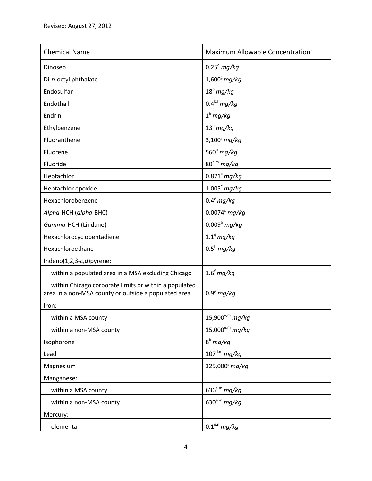| <b>Chemical Name</b>                                                                                          | Maximum Allowable Concentration <sup>a</sup> |
|---------------------------------------------------------------------------------------------------------------|----------------------------------------------|
| Dinoseb                                                                                                       | $0.25d$ mg/kg                                |
| Di-n-octyl phthalate                                                                                          | $1,600^8$ mg/kg                              |
| Endosulfan                                                                                                    | $18^b$ mg/kg                                 |
| Endothall                                                                                                     | $0.4^{b,l}$ mg/kg                            |
| Endrin                                                                                                        | $1^{\text{b}}$ mg/kg                         |
| Ethylbenzene                                                                                                  | $13^b$ mg/kg                                 |
| Fluoranthene                                                                                                  | $3,1008$ mg/kg                               |
| Fluorene                                                                                                      | 560 $b$ mg/kg                                |
| Fluoride                                                                                                      | $80^{h,m}$ mg/kg                             |
| Heptachlor                                                                                                    | $0.871^{\circ}$ mg/kg                        |
| Heptachlor epoxide                                                                                            | $1.005c$ mg/kg                               |
| Hexachlorobenzene                                                                                             | $0.4^8$ mg/kg                                |
| Alpha-HCH (alpha-BHC)                                                                                         | $0.0074c$ mg/kg                              |
| Gamma-HCH (Lindane)                                                                                           | $0.009b$ mg/kg                               |
| Hexachlorocyclopentadiene                                                                                     | $1.18$ mg/kg                                 |
| Hexachloroethane                                                                                              | $0.5^b$ mg/kg                                |
| Indeno $(1,2,3-c,d)$ pyrene:                                                                                  |                                              |
| within a populated area in a MSA excluding Chicago                                                            | $1.6f$ mg/kg                                 |
| within Chicago corporate limits or within a populated<br>area in a non-MSA county or outside a populated area | $0.9g$ mg/kg                                 |
| Iron:                                                                                                         |                                              |
| within a MSA county                                                                                           | $15,900^{e,m}$ mg/kg                         |
| within a non-MSA county                                                                                       | $15,000^{e,m}$ mg/kg                         |
| Isophorone                                                                                                    | $8^b$ mg/kg                                  |
| Lead                                                                                                          | $107^{\text{d,m}}$ mg/kg                     |
| Magnesium                                                                                                     | 325,000 <sup>g</sup> mg/kg                   |
| Manganese:                                                                                                    |                                              |
| within a MSA county                                                                                           | $636^{e,m}$ mg/kg                            |
| within a non-MSA county                                                                                       | 630 $e^{m}$ mg/kg                            |
| Mercury:                                                                                                      |                                              |
| elemental                                                                                                     | $0.1g,n$ mg/kg                               |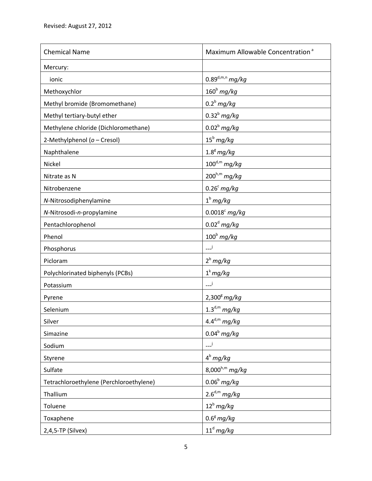| <b>Chemical Name</b>                    | Maximum Allowable Concentration <sup>a</sup> |
|-----------------------------------------|----------------------------------------------|
| Mercury:                                |                                              |
| ionic                                   | $0.89^{d,m,n}$ mg/kg                         |
| Methoxychlor                            | $160b$ mg/kg                                 |
| Methyl bromide (Bromomethane)           | $0.2^b$ mg/kg                                |
| Methyl tertiary-butyl ether             | $0.32b$ mg/kg                                |
| Methylene chloride (Dichloromethane)    | $0.02b$ mg/kg                                |
| 2-Methylphenol (o - Cresol)             | $15^b$ mg/kg                                 |
| Naphthalene                             | $1.8^g$ mg/kg                                |
| Nickel                                  | $100^{d,m}$ mg/kg                            |
| Nitrate as N                            | $200^{h,m}$ mg/kg                            |
| Nitrobenzene                            | $0.26^c$ mg/kg                               |
| N-Nitrosodiphenylamine                  | $1b$ mg/kg                                   |
| N-Nitrosodi-n-propylamine               | $0.0018^c$ mg/kg                             |
| Pentachlorophenol                       | $0.02d$ mg/kg                                |
| Phenol                                  | $100b$ mg/kg                                 |
| Phosphorus                              | ن___                                         |
| Picloram                                | $2^b$ mg/kg                                  |
| Polychlorinated biphenyls (PCBs)        | $1^k mg/kg$                                  |
| Potassium                               | ني_                                          |
| Pyrene                                  | $2,300^8$ mg/kg                              |
| Selenium                                | $1.3^{d,m}$ mg/kg                            |
| Silver                                  | $4.4^{d,m}$ mg/kg                            |
| Simazine                                | $0.04b$ mg/kg                                |
| Sodium                                  | نی۔                                          |
| Styrene                                 | $4^b$ mg/kg                                  |
| Sulfate                                 | 8,000 $h,m$ mg/kg                            |
| Tetrachloroethylene (Perchloroethylene) | $0.06b$ mg/kg                                |
| Thallium                                | $2.6^{d,m}$ mg/kg                            |
| Toluene                                 | $12^b$ mg/kg                                 |
| Toxaphene                               | $0.6^8$ mg/kg                                |
| 2,4,5-TP (Silvex)                       | $11^d$ mg/kg                                 |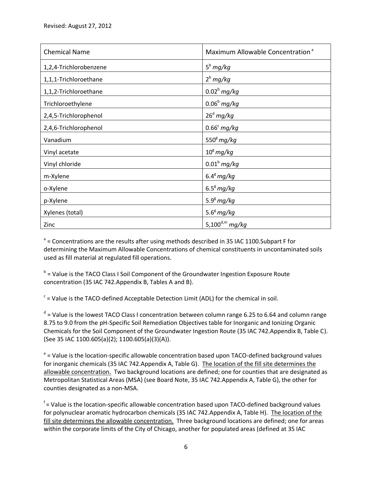| <b>Chemical Name</b>   | Maximum Allowable Concentration <sup>a</sup> |
|------------------------|----------------------------------------------|
| 1,2,4-Trichlorobenzene | $5^b$ mg/kg                                  |
| 1,1,1-Trichloroethane  | $2^b$ mg/kg                                  |
| 1,1,2-Trichloroethane  | $0.02b$ mg/kg                                |
| Trichloroethylene      | $0.06b$ mg/kg                                |
| 2,4,5-Trichlorophenol  | $26d$ mg/kg                                  |
| 2,4,6-Trichlorophenol  | $0.66^c$ mg/kg                               |
| Vanadium               | $5508$ mg/kg                                 |
| Vinyl acetate          | $10^8 \, mg/kg$                              |
| Vinyl chloride         | $0.01b$ mg/kg                                |
| m-Xylene               | $6.4^8$ mg/kg                                |
| o-Xylene               | $6.58$ mg/kg                                 |
| p-Xylene               | $5.9g$ mg/kg                                 |
| Xylenes (total)        | $5.68$ mg/kg                                 |
| Zinc                   | 5,100 $d,m$ mg/kg                            |

<sup>a</sup> = Concentrations are the results after using methods described in 35 IAC 1100.Subpart F for determining the Maximum Allowable Concentrations of chemical constituents in uncontaminated soils used as fill material at regulated fill operations.

<sup>b</sup> = Value is the TACO Class I Soil Component of the Groundwater Ingestion Exposure Route concentration (35 IAC 742.Appendix B, Tables A and B).

 $c$  = Value is the TACO-defined Acceptable Detection Limit (ADL) for the chemical in soil.

<sup>d</sup> = Value is the lowest TACO Class I concentration between column range 6.25 to 6.64 and column range 8.75 to 9.0 from the pH-Specific Soil Remediation Objectives table for Inorganic and Ionizing Organic Chemicals for the Soil Component of the Groundwater Ingestion Route (35 IAC 742.Appendix B, Table C). (See 35 IAC 1100.605(a)(2); 1100.605(a)(3)(A)).

<sup>e</sup> = Value is the location-specific allowable concentration based upon TACO-defined background values for inorganic chemicals (35 IAC 742.Appendix A, Table G). The location of the fill site determines the allowable concentration. Two background locations are defined; one for counties that are designated as Metropolitan Statistical Areas (MSA) (see Board Note, 35 IAC 742.Appendix A, Table G), the other for counties designated as a non-MSA.

<sup>f</sup> = Value is the location-specific allowable concentration based upon TACO-defined background values for polynuclear aromatic hydrocarbon chemicals (35 IAC 742. Appendix A, Table H). The location of the fill site determines the allowable concentration. Three background locations are defined; one for areas within the corporate limits of the City of Chicago, another for populated areas (defined at 35 IAC